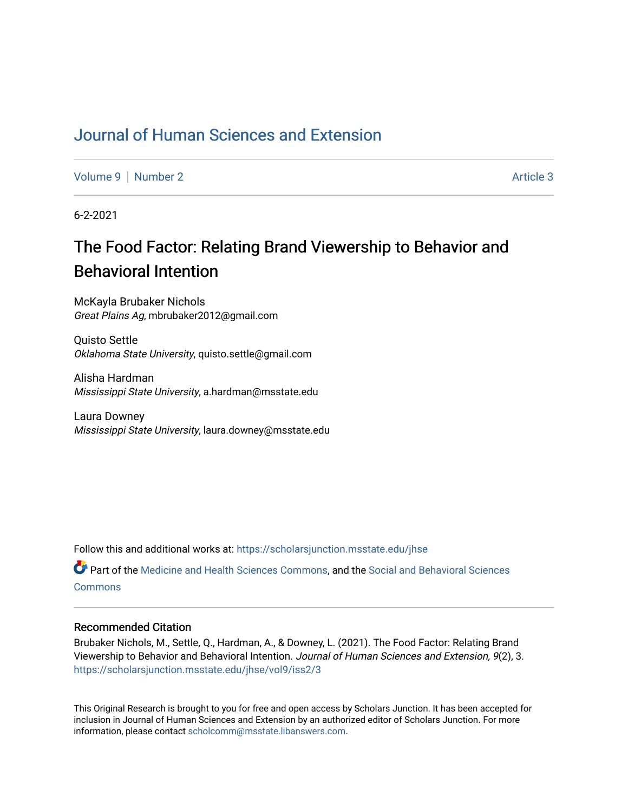# [Journal of Human Sciences and Extension](https://scholarsjunction.msstate.edu/jhse)

[Volume 9](https://scholarsjunction.msstate.edu/jhse/vol9) | [Number 2](https://scholarsjunction.msstate.edu/jhse/vol9/iss2) Article 3

6-2-2021

# The Food Factor: Relating Brand Viewership to Behavior and Behavioral Intention

McKayla Brubaker Nichols Great Plains Ag, mbrubaker2012@gmail.com

Quisto Settle Oklahoma State University, quisto.settle@gmail.com

Alisha Hardman Mississippi State University, a.hardman@msstate.edu

Laura Downey Mississippi State University, laura.downey@msstate.edu

Follow this and additional works at: [https://scholarsjunction.msstate.edu/jhse](https://scholarsjunction.msstate.edu/jhse?utm_source=scholarsjunction.msstate.edu%2Fjhse%2Fvol9%2Fiss2%2F3&utm_medium=PDF&utm_campaign=PDFCoverPages)

Part of the [Medicine and Health Sciences Commons,](http://network.bepress.com/hgg/discipline/648?utm_source=scholarsjunction.msstate.edu%2Fjhse%2Fvol9%2Fiss2%2F3&utm_medium=PDF&utm_campaign=PDFCoverPages) and the [Social and Behavioral Sciences](http://network.bepress.com/hgg/discipline/316?utm_source=scholarsjunction.msstate.edu%2Fjhse%2Fvol9%2Fiss2%2F3&utm_medium=PDF&utm_campaign=PDFCoverPages) **[Commons](http://network.bepress.com/hgg/discipline/316?utm_source=scholarsjunction.msstate.edu%2Fjhse%2Fvol9%2Fiss2%2F3&utm_medium=PDF&utm_campaign=PDFCoverPages)** 

#### Recommended Citation

Brubaker Nichols, M., Settle, Q., Hardman, A., & Downey, L. (2021). The Food Factor: Relating Brand Viewership to Behavior and Behavioral Intention. Journal of Human Sciences and Extension, 9(2), 3. [https://scholarsjunction.msstate.edu/jhse/vol9/iss2/3](https://scholarsjunction.msstate.edu/jhse/vol9/iss2/3?utm_source=scholarsjunction.msstate.edu%2Fjhse%2Fvol9%2Fiss2%2F3&utm_medium=PDF&utm_campaign=PDFCoverPages)

This Original Research is brought to you for free and open access by Scholars Junction. It has been accepted for inclusion in Journal of Human Sciences and Extension by an authorized editor of Scholars Junction. For more information, please contact [scholcomm@msstate.libanswers.com](mailto:scholcomm@msstate.libanswers.com).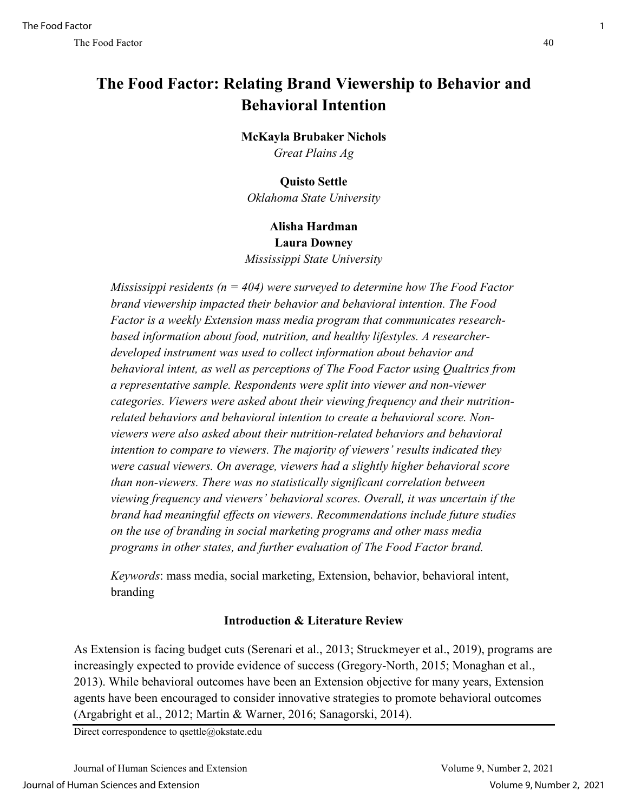# **The Food Factor: Relating Brand Viewership to Behavior and Behavioral Intention**

# **McKayla Brubaker Nichols**

*Great Plains Ag*

## **Quisto Settle**

*Oklahoma State University*

#### **Alisha Hardman Laura Downey**

*Mississippi State University*

*Mississippi residents (n = 404) were surveyed to determine how The Food Factor brand viewership impacted their behavior and behavioral intention. The Food Factor is a weekly Extension mass media program that communicates researchbased information about food, nutrition, and healthy lifestyles. A researcherdeveloped instrument was used to collect information about behavior and behavioral intent, as well as perceptions of The Food Factor using Qualtrics from a representative sample. Respondents were split into viewer and non-viewer categories. Viewers were asked about their viewing frequency and their nutritionrelated behaviors and behavioral intention to create a behavioral score. Nonviewers were also asked about their nutrition-related behaviors and behavioral intention to compare to viewers. The majority of viewers' results indicated they were casual viewers. On average, viewers had a slightly higher behavioral score than non-viewers. There was no statistically significant correlation between viewing frequency and viewers' behavioral scores. Overall, it was uncertain if the brand had meaningful effects on viewers. Recommendations include future studies on the use of branding in social marketing programs and other mass media programs in other states, and further evaluation of The Food Factor brand.* 

*Keywords*: mass media, social marketing, Extension, behavior, behavioral intent, branding

# **Introduction & Literature Review**

As Extension is facing budget cuts (Serenari et al., 2013; Struckmeyer et al., 2019), programs are increasingly expected to provide evidence of success (Gregory-North, 2015; Monaghan et al., 2013). While behavioral outcomes have been an Extension objective for many years, Extension agents have been encouraged to consider innovative strategies to promote behavioral outcomes (Argabright et al., 2012; Martin & Warner, 2016; Sanagorski, 2014).

Direct correspondence to qsettle@okstate.edu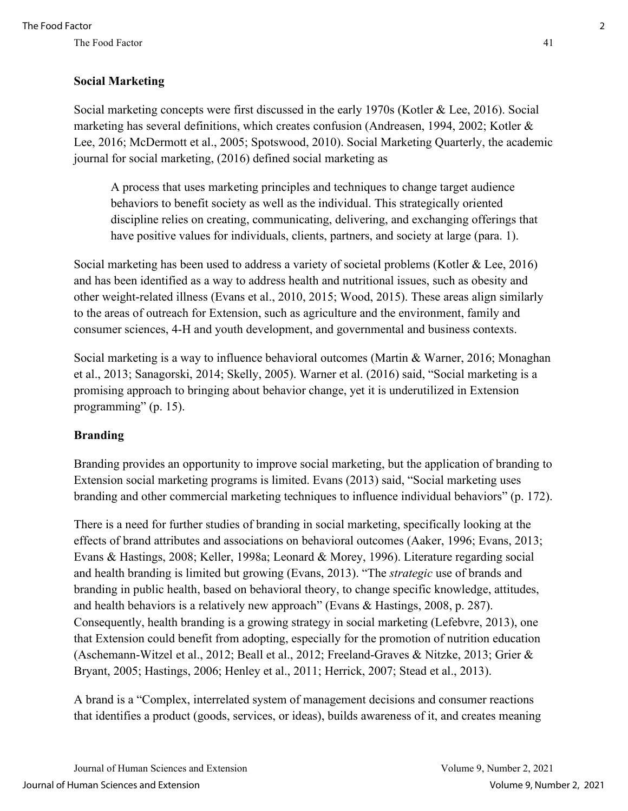### **Social Marketing**

Social marketing concepts were first discussed in the early 1970s (Kotler & Lee, 2016). Social marketing has several definitions, which creates confusion (Andreasen, 1994, 2002; Kotler & Lee, 2016; McDermott et al., 2005; Spotswood, 2010). Social Marketing Quarterly, the academic journal for social marketing, (2016) defined social marketing as

A process that uses marketing principles and techniques to change target audience behaviors to benefit society as well as the individual. This strategically oriented discipline relies on creating, communicating, delivering, and exchanging offerings that have positive values for individuals, clients, partners, and society at large (para. 1).

Social marketing has been used to address a variety of societal problems (Kotler & Lee, 2016) and has been identified as a way to address health and nutritional issues, such as obesity and other weight-related illness (Evans et al., 2010, 2015; Wood, 2015). These areas align similarly to the areas of outreach for Extension, such as agriculture and the environment, family and consumer sciences, 4-H and youth development, and governmental and business contexts.

Social marketing is a way to influence behavioral outcomes (Martin & Warner, 2016; Monaghan et al., 2013; Sanagorski, 2014; Skelly, 2005). Warner et al. (2016) said, "Social marketing is a promising approach to bringing about behavior change, yet it is underutilized in Extension programming" (p. 15).

#### **Branding**

Branding provides an opportunity to improve social marketing, but the application of branding to Extension social marketing programs is limited. Evans (2013) said, "Social marketing uses branding and other commercial marketing techniques to influence individual behaviors" (p. 172).

There is a need for further studies of branding in social marketing, specifically looking at the effects of brand attributes and associations on behavioral outcomes (Aaker, 1996; Evans, 2013; Evans & Hastings, 2008; Keller, 1998a; Leonard & Morey, 1996). Literature regarding social and health branding is limited but growing (Evans, 2013). "The *strategic* use of brands and branding in public health, based on behavioral theory, to change specific knowledge, attitudes, and health behaviors is a relatively new approach" (Evans & Hastings, 2008, p. 287). Consequently, health branding is a growing strategy in social marketing (Lefebvre, 2013), one that Extension could benefit from adopting, especially for the promotion of nutrition education (Aschemann-Witzel et al., 2012; Beall et al., 2012; Freeland-Graves & Nitzke, 2013; Grier & Bryant, 2005; Hastings, 2006; Henley et al., 2011; Herrick, 2007; Stead et al., 2013).

A brand is a "Complex, interrelated system of management decisions and consumer reactions that identifies a product (goods, services, or ideas), builds awareness of it, and creates meaning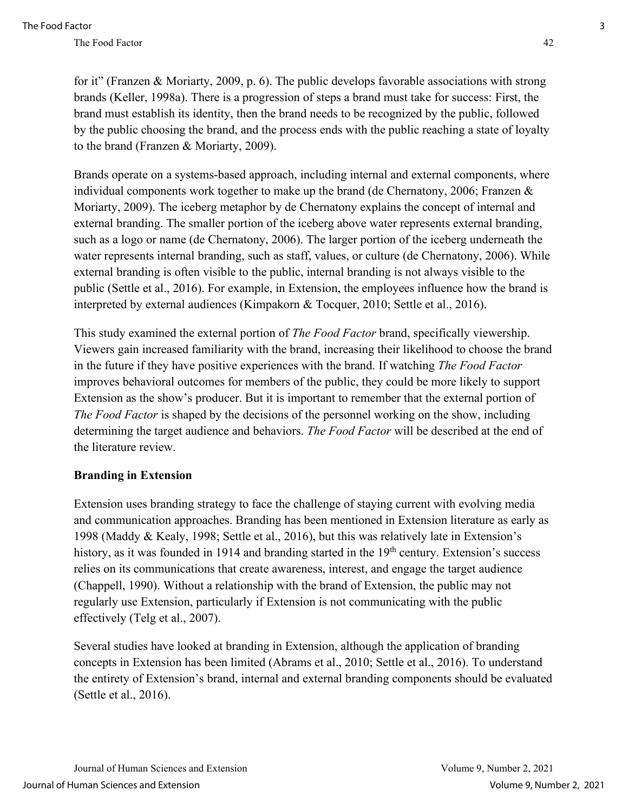for it" (Franzen & Moriarty, 2009, p. 6). The public develops favorable associations with strong brands (Keller, 1998a). There is a progression of steps a brand must take for success: First, the brand must establish its identity, then the brand needs to be recognized by the public, followed by the public choosing the brand, and the process ends with the public reaching a state of loyalty to the brand (Franzen & Moriarty, 2009).

Brands operate on a systems-based approach, including internal and external components, where individual components work together to make up the brand (de Chernatony, 2006; Franzen & Moriarty, 2009). The iceberg metaphor by de Chernatony explains the concept of internal and external branding. The smaller portion of the iceberg above water represents external branding, such as a logo or name (de Chernatony, 2006). The larger portion of the iceberg underneath the water represents internal branding, such as staff, values, or culture (de Chernatony, 2006). While external branding is often visible to the public, internal branding is not always visible to the public (Settle et al., 2016). For example, in Extension, the employees influence how the brand is interpreted by external audiences (Kimpakorn & Tocquer, 2010; Settle et al., 2016).

This study examined the external portion of *The Food Factor* brand, specifically viewership. Viewers gain increased familiarity with the brand, increasing their likelihood to choose the brand in the future if they have positive experiences with the brand. If watching *The Food Factor* improves behavioral outcomes for members of the public, they could be more likely to support Extension as the show's producer. But it is important to remember that the external portion of *The Food Factor* is shaped by the decisions of the personnel working on the show, including determining the target audience and behaviors. *The Food Factor* will be described at the end of the literature review.

#### **Branding in Extension**

Extension uses branding strategy to face the challenge of staying current with evolving media and communication approaches. Branding has been mentioned in Extension literature as early as 1998 (Maddy & Kealy, 1998; Settle et al., 2016), but this was relatively late in Extension's history, as it was founded in 1914 and branding started in the  $19<sup>th</sup>$  century. Extension's success relies on its communications that create awareness, interest, and engage the target audience (Chappell, 1990). Without a relationship with the brand of Extension, the public may not regularly use Extension, particularly if Extension is not communicating with the public effectively (Telg et al., 2007).

Several studies have looked at branding in Extension, although the application of branding concepts in Extension has been limited (Abrams et al., 2010; Settle et al., 2016). To understand the entirety of Extension's brand, internal and external branding components should be evaluated (Settle et al., 2016).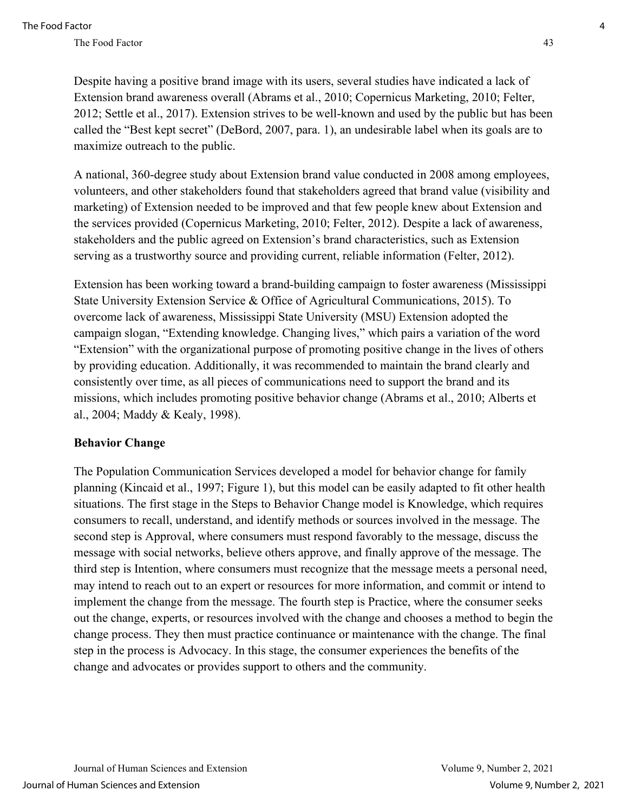Despite having a positive brand image with its users, several studies have indicated a lack of Extension brand awareness overall (Abrams et al., 2010; Copernicus Marketing, 2010; Felter, 2012; Settle et al., 2017). Extension strives to be well-known and used by the public but has been called the "Best kept secret" (DeBord, 2007, para. 1), an undesirable label when its goals are to maximize outreach to the public.

A national, 360-degree study about Extension brand value conducted in 2008 among employees, volunteers, and other stakeholders found that stakeholders agreed that brand value (visibility and marketing) of Extension needed to be improved and that few people knew about Extension and the services provided (Copernicus Marketing, 2010; Felter, 2012). Despite a lack of awareness, stakeholders and the public agreed on Extension's brand characteristics, such as Extension serving as a trustworthy source and providing current, reliable information (Felter, 2012).

Extension has been working toward a brand-building campaign to foster awareness (Mississippi State University Extension Service & Office of Agricultural Communications, 2015). To overcome lack of awareness, Mississippi State University (MSU) Extension adopted the campaign slogan, "Extending knowledge. Changing lives," which pairs a variation of the word "Extension" with the organizational purpose of promoting positive change in the lives of others by providing education. Additionally, it was recommended to maintain the brand clearly and consistently over time, as all pieces of communications need to support the brand and its missions, which includes promoting positive behavior change (Abrams et al., 2010; Alberts et al., 2004; Maddy & Kealy, 1998).

#### **Behavior Change**

The Population Communication Services developed a model for behavior change for family planning (Kincaid et al., 1997; Figure 1), but this model can be easily adapted to fit other health situations. The first stage in the Steps to Behavior Change model is Knowledge, which requires consumers to recall, understand, and identify methods or sources involved in the message. The second step is Approval, where consumers must respond favorably to the message, discuss the message with social networks, believe others approve, and finally approve of the message. The third step is Intention, where consumers must recognize that the message meets a personal need, may intend to reach out to an expert or resources for more information, and commit or intend to implement the change from the message. The fourth step is Practice, where the consumer seeks out the change, experts, or resources involved with the change and chooses a method to begin the change process. They then must practice continuance or maintenance with the change. The final step in the process is Advocacy. In this stage, the consumer experiences the benefits of the change and advocates or provides support to others and the community.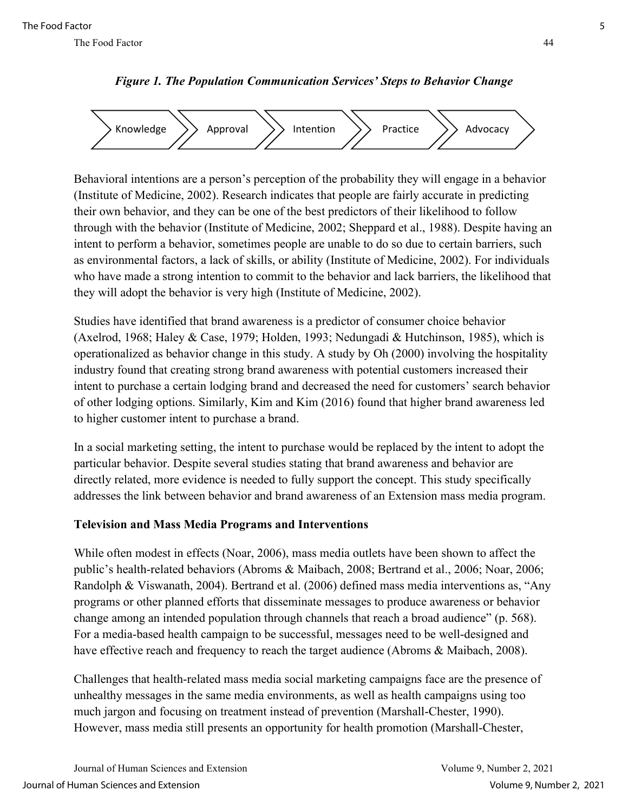

*Figure 1. The Population Communication Services' Steps to Behavior Change*

Behavioral intentions are a person's perception of the probability they will engage in a behavior (Institute of Medicine, 2002). Research indicates that people are fairly accurate in predicting their own behavior, and they can be one of the best predictors of their likelihood to follow through with the behavior (Institute of Medicine, 2002; Sheppard et al., 1988). Despite having an intent to perform a behavior, sometimes people are unable to do so due to certain barriers, such as environmental factors, a lack of skills, or ability (Institute of Medicine, 2002). For individuals who have made a strong intention to commit to the behavior and lack barriers, the likelihood that they will adopt the behavior is very high (Institute of Medicine, 2002).

Studies have identified that brand awareness is a predictor of consumer choice behavior (Axelrod, 1968; Haley & Case, 1979; Holden, 1993; Nedungadi & Hutchinson, 1985), which is operationalized as behavior change in this study. A study by Oh (2000) involving the hospitality industry found that creating strong brand awareness with potential customers increased their intent to purchase a certain lodging brand and decreased the need for customers' search behavior of other lodging options. Similarly, Kim and Kim (2016) found that higher brand awareness led to higher customer intent to purchase a brand.

In a social marketing setting, the intent to purchase would be replaced by the intent to adopt the particular behavior. Despite several studies stating that brand awareness and behavior are directly related, more evidence is needed to fully support the concept. This study specifically addresses the link between behavior and brand awareness of an Extension mass media program.

### **Television and Mass Media Programs and Interventions**

While often modest in effects (Noar, 2006), mass media outlets have been shown to affect the public's health-related behaviors (Abroms & Maibach, 2008; Bertrand et al., 2006; Noar, 2006; Randolph & Viswanath, 2004). Bertrand et al. (2006) defined mass media interventions as, "Any programs or other planned efforts that disseminate messages to produce awareness or behavior change among an intended population through channels that reach a broad audience" (p. 568). For a media-based health campaign to be successful, messages need to be well-designed and have effective reach and frequency to reach the target audience (Abroms & Maibach, 2008).

Challenges that health-related mass media social marketing campaigns face are the presence of unhealthy messages in the same media environments, as well as health campaigns using too much jargon and focusing on treatment instead of prevention (Marshall-Chester, 1990). However, mass media still presents an opportunity for health promotion (Marshall-Chester,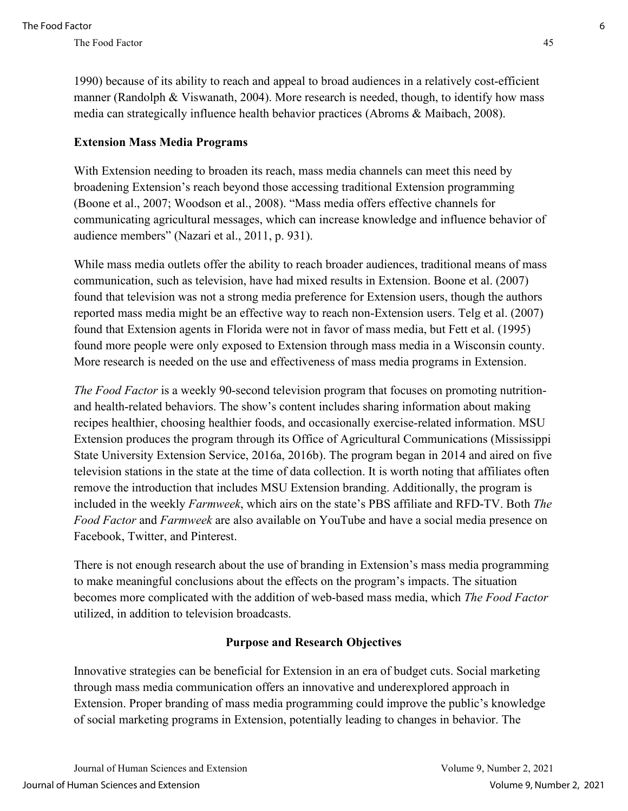### **Extension Mass Media Programs**

With Extension needing to broaden its reach, mass media channels can meet this need by broadening Extension's reach beyond those accessing traditional Extension programming (Boone et al., 2007; Woodson et al., 2008). "Mass media offers effective channels for communicating agricultural messages, which can increase knowledge and influence behavior of audience members" (Nazari et al., 2011, p. 931).

While mass media outlets offer the ability to reach broader audiences, traditional means of mass communication, such as television, have had mixed results in Extension. Boone et al. (2007) found that television was not a strong media preference for Extension users, though the authors reported mass media might be an effective way to reach non-Extension users. Telg et al. (2007) found that Extension agents in Florida were not in favor of mass media, but Fett et al. (1995) found more people were only exposed to Extension through mass media in a Wisconsin county. More research is needed on the use and effectiveness of mass media programs in Extension.

*The Food Factor* is a weekly 90-second television program that focuses on promoting nutritionand health-related behaviors. The show's content includes sharing information about making recipes healthier, choosing healthier foods, and occasionally exercise-related information. MSU Extension produces the program through its Office of Agricultural Communications (Mississippi State University Extension Service, 2016a, 2016b). The program began in 2014 and aired on five television stations in the state at the time of data collection. It is worth noting that affiliates often remove the introduction that includes MSU Extension branding. Additionally, the program is included in the weekly *Farmweek*, which airs on the state's PBS affiliate and RFD-TV. Both *The Food Factor* and *Farmweek* are also available on YouTube and have a social media presence on Facebook, Twitter, and Pinterest.

There is not enough research about the use of branding in Extension's mass media programming to make meaningful conclusions about the effects on the program's impacts. The situation becomes more complicated with the addition of web-based mass media, which *The Food Factor* utilized, in addition to television broadcasts.

#### **Purpose and Research Objectives**

Innovative strategies can be beneficial for Extension in an era of budget cuts. Social marketing through mass media communication offers an innovative and underexplored approach in Extension. Proper branding of mass media programming could improve the public's knowledge of social marketing programs in Extension, potentially leading to changes in behavior. The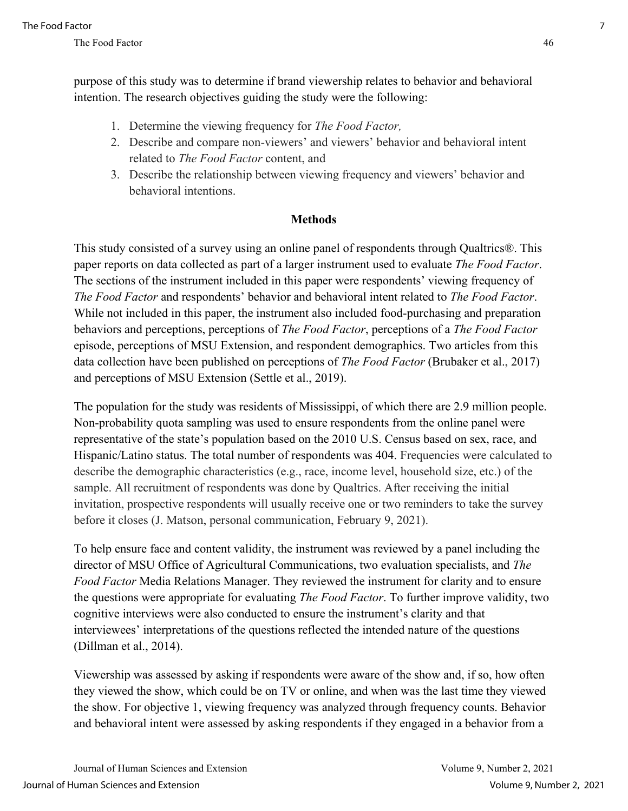purpose of this study was to determine if brand viewership relates to behavior and behavioral intention. The research objectives guiding the study were the following:

- 1. Determine the viewing frequency for *The Food Factor,*
- 2. Describe and compare non-viewers' and viewers' behavior and behavioral intent related to *The Food Factor* content, and
- 3. Describe the relationship between viewing frequency and viewers' behavior and behavioral intentions.

### **Methods**

This study consisted of a survey using an online panel of respondents through Qualtrics®. This paper reports on data collected as part of a larger instrument used to evaluate *The Food Factor*. The sections of the instrument included in this paper were respondents' viewing frequency of *The Food Factor* and respondents' behavior and behavioral intent related to *The Food Factor*. While not included in this paper, the instrument also included food-purchasing and preparation behaviors and perceptions, perceptions of *The Food Factor*, perceptions of a *The Food Factor* episode, perceptions of MSU Extension, and respondent demographics. Two articles from this data collection have been published on perceptions of *The Food Factor* (Brubaker et al., 2017) and perceptions of MSU Extension (Settle et al., 2019).

The population for the study was residents of Mississippi, of which there are 2.9 million people. Non-probability quota sampling was used to ensure respondents from the online panel were representative of the state's population based on the 2010 U.S. Census based on sex, race, and Hispanic/Latino status. The total number of respondents was 404. Frequencies were calculated to describe the demographic characteristics (e.g., race, income level, household size, etc.) of the sample. All recruitment of respondents was done by Qualtrics. After receiving the initial invitation, prospective respondents will usually receive one or two reminders to take the survey before it closes (J. Matson, personal communication, February 9, 2021).

To help ensure face and content validity, the instrument was reviewed by a panel including the director of MSU Office of Agricultural Communications, two evaluation specialists, and *The Food Factor* Media Relations Manager. They reviewed the instrument for clarity and to ensure the questions were appropriate for evaluating *The Food Factor*. To further improve validity, two cognitive interviews were also conducted to ensure the instrument's clarity and that interviewees' interpretations of the questions reflected the intended nature of the questions (Dillman et al., 2014).

Viewership was assessed by asking if respondents were aware of the show and, if so, how often they viewed the show, which could be on TV or online, and when was the last time they viewed the show. For objective 1, viewing frequency was analyzed through frequency counts. Behavior and behavioral intent were assessed by asking respondents if they engaged in a behavior from a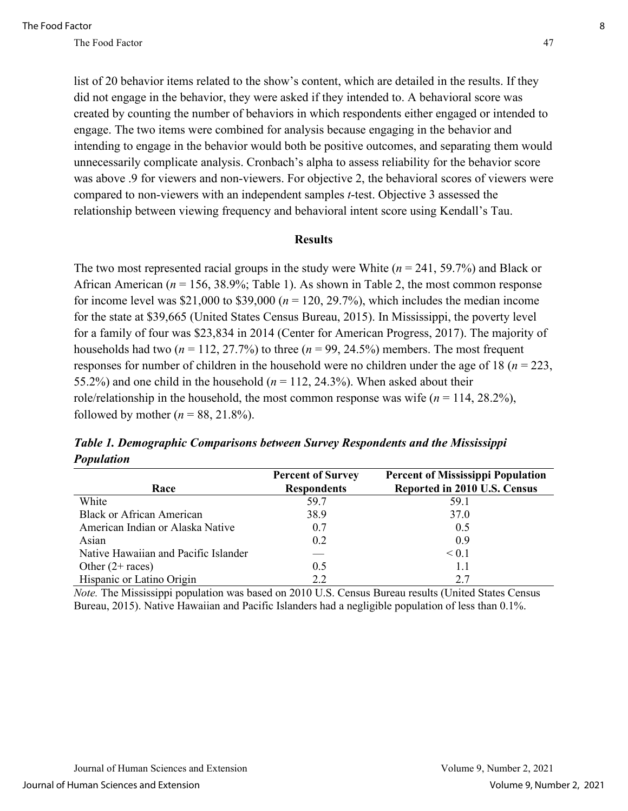list of 20 behavior items related to the show's content, which are detailed in the results. If they did not engage in the behavior, they were asked if they intended to. A behavioral score was created by counting the number of behaviors in which respondents either engaged or intended to engage. The two items were combined for analysis because engaging in the behavior and intending to engage in the behavior would both be positive outcomes, and separating them would unnecessarily complicate analysis. Cronbach's alpha to assess reliability for the behavior score was above .9 for viewers and non-viewers. For objective 2, the behavioral scores of viewers were compared to non-viewers with an independent samples *t*-test. Objective 3 assessed the relationship between viewing frequency and behavioral intent score using Kendall's Tau.

#### **Results**

The two most represented racial groups in the study were White (*n* = 241, 59.7%) and Black or African American (*n* = 156, 38.9%; Table 1). As shown in Table 2, the most common response for income level was  $$21,000$  to  $$39,000$  ( $n = 120, 29.7%$ ), which includes the median income for the state at \$39,665 (United States Census Bureau, 2015). In Mississippi, the poverty level for a family of four was \$23,834 in 2014 (Center for American Progress, 2017). The majority of households had two  $(n = 112, 27.7\%)$  to three  $(n = 99, 24.5\%)$  members. The most frequent responses for number of children in the household were no children under the age of 18 (*n* = 223, 55.2%) and one child in the household  $(n = 112, 24.3\%)$ . When asked about their role/relationship in the household, the most common response was wife  $(n = 114, 28.2\%)$ , followed by mother ( $n = 88, 21.8\%$ ).

|                                      | <b>Percent of Survey</b> | <b>Percent of Mississippi Population</b> |
|--------------------------------------|--------------------------|------------------------------------------|
| Race                                 | <b>Respondents</b>       | Reported in 2010 U.S. Census             |
| White                                | 59.7                     | 59.1                                     |
| <b>Black or African American</b>     | 38.9                     | 37.0                                     |
| American Indian or Alaska Native     | 0.7                      | 0.5                                      |
| Asian                                | 0.2                      | 0.9                                      |
| Native Hawaiian and Pacific Islander |                          | $\leq 0.1$                               |
| Other $(2 + \text{races})$           | 0.5                      | 1.1                                      |
| Hispanic or Latino Origin            | 2.2                      | 2.7                                      |

*Table 1. Demographic Comparisons between Survey Respondents and the Mississippi Population*

*Note.* The Mississippi population was based on 2010 U.S. Census Bureau results (United States Census Bureau, 2015). Native Hawaiian and Pacific Islanders had a negligible population of less than 0.1%.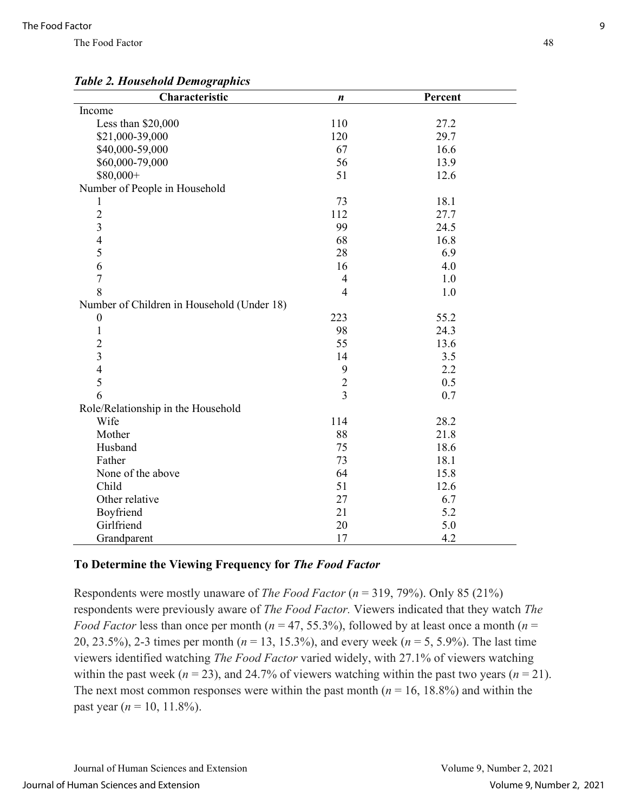## *Table 2. Household Demographics*

| Characteristic                             | $\boldsymbol{n}$ | Percent |  |
|--------------------------------------------|------------------|---------|--|
| Income                                     |                  |         |  |
| Less than \$20,000                         | 110              | 27.2    |  |
| \$21,000-39,000                            | 120              | 29.7    |  |
| \$40,000-59,000                            | 67               | 16.6    |  |
| \$60,000-79,000                            | 56               | 13.9    |  |
| \$80,000+                                  | 51               | 12.6    |  |
| Number of People in Household              |                  |         |  |
| 1                                          | 73               | 18.1    |  |
| $\overline{2}$                             | 112              | 27.7    |  |
| $\overline{3}$                             | 99               | 24.5    |  |
| $\overline{4}$                             | 68               | 16.8    |  |
| 5                                          | 28               | 6.9     |  |
| 6                                          | 16               | 4.0     |  |
| $\overline{7}$                             | $\overline{4}$   | 1.0     |  |
| 8                                          | $\overline{4}$   | 1.0     |  |
| Number of Children in Household (Under 18) |                  |         |  |
| $\boldsymbol{0}$                           | 223              | 55.2    |  |
| $\mathbf{1}$                               | 98               | 24.3    |  |
| $\overline{2}$                             | 55               | 13.6    |  |
| $\overline{3}$                             | 14               | 3.5     |  |
| $\overline{4}$                             | 9                | 2.2     |  |
| 5                                          | $\overline{2}$   | 0.5     |  |
| 6                                          | $\overline{3}$   | 0.7     |  |
| Role/Relationship in the Household         |                  |         |  |
| Wife                                       | 114              | 28.2    |  |
| Mother                                     | 88               | 21.8    |  |
| Husband                                    | 75               | 18.6    |  |
| Father                                     | 73               | 18.1    |  |
| None of the above                          | 64               | 15.8    |  |
| Child                                      | 51               | 12.6    |  |
| Other relative                             | 27               | 6.7     |  |
| Boyfriend                                  | 21               | 5.2     |  |
| Girlfriend                                 | 20               | 5.0     |  |
| Grandparent                                | 17               | 4.2     |  |

The Food Factor 48

#### **To Determine the Viewing Frequency for** *The Food Factor*

Respondents were mostly unaware of *The Food Factor* (*n* = 319, 79%). Only 85 (21%) respondents were previously aware of *The Food Factor.* Viewers indicated that they watch *The Food Factor* less than once per month ( $n = 47, 55.3\%$ ), followed by at least once a month ( $n =$ 20, 23.5%), 2-3 times per month (*n* = 13, 15.3%), and every week (*n* = 5, 5.9%). The last time viewers identified watching *The Food Factor* varied widely, with 27.1% of viewers watching within the past week ( $n = 23$ ), and 24.7% of viewers watching within the past two years ( $n = 21$ ). The next most common responses were within the past month  $(n = 16, 18.8\%)$  and within the past year ( $n = 10, 11.8\%$ ).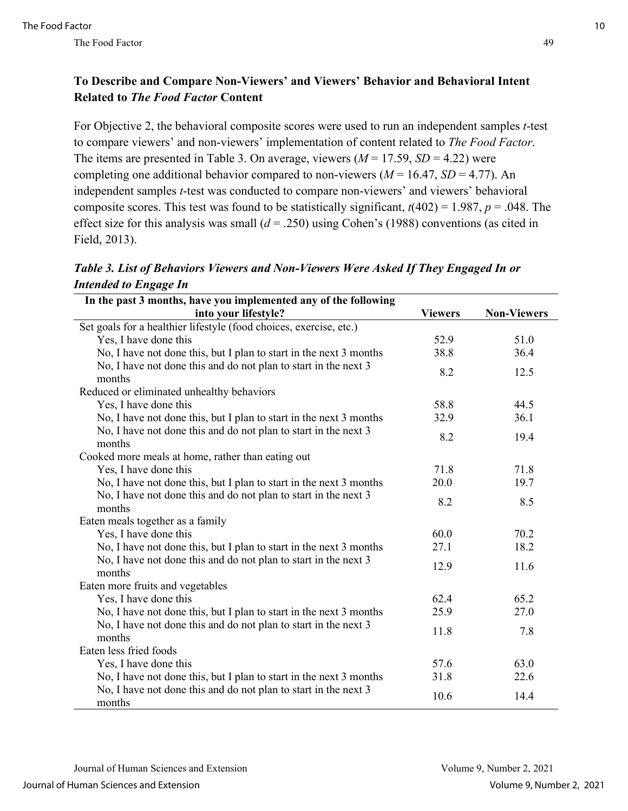## **To Describe and Compare Non-Viewers' and Viewers' Behavior and Behavioral Intent Related to** *The Food Factor* **Content**

For Objective 2, the behavioral composite scores were used to run an independent samples *t*-test to compare viewers' and non-viewers' implementation of content related to *The Food Factor*. The items are presented in Table 3. On average, viewers  $(M = 17.59, SD = 4.22)$  were completing one additional behavior compared to non-viewers  $(M = 16.47, SD = 4.77)$ . An independent samples *t*-test was conducted to compare non-viewers' and viewers' behavioral composite scores. This test was found to be statistically significant, *t*(402) = 1.987, *p* = .048. The effect size for this analysis was small  $(d = .250)$  using Cohen's (1988) conventions (as cited in Field, 2013).

*Table 3. List of Behaviors Viewers and Non-Viewers Were Asked If They Engaged In or Intended to Engage In*

| In the past 3 months, have you implemented any of the following           |                |                    |  |  |
|---------------------------------------------------------------------------|----------------|--------------------|--|--|
| into your lifestyle?                                                      | <b>Viewers</b> | <b>Non-Viewers</b> |  |  |
| Set goals for a healthier lifestyle (food choices, exercise, etc.)        |                |                    |  |  |
| Yes, I have done this                                                     | 52.9           | 51.0               |  |  |
| No, I have not done this, but I plan to start in the next 3 months        | 38.8           | 36.4               |  |  |
| No, I have not done this and do not plan to start in the next 3<br>months | 8.2            | 12.5               |  |  |
| Reduced or eliminated unhealthy behaviors                                 |                |                    |  |  |
| Yes, I have done this                                                     | 58.8           | 44.5               |  |  |
| No, I have not done this, but I plan to start in the next 3 months        | 32.9           | 36.1               |  |  |
| No, I have not done this and do not plan to start in the next 3<br>months | 8.2            | 19.4               |  |  |
| Cooked more meals at home, rather than eating out                         |                |                    |  |  |
| Yes, I have done this                                                     | 71.8           | 71.8               |  |  |
| No, I have not done this, but I plan to start in the next 3 months        | 20.0           | 19.7               |  |  |
| No, I have not done this and do not plan to start in the next 3<br>months | 8.2            | 8.5                |  |  |
| Eaten meals together as a family                                          |                |                    |  |  |
| Yes, I have done this                                                     | 60.0           | 70.2               |  |  |
| No, I have not done this, but I plan to start in the next 3 months        | 27.1           | 18.2               |  |  |
| No, I have not done this and do not plan to start in the next 3<br>months | 12.9           | 11.6               |  |  |
| Eaten more fruits and vegetables                                          |                |                    |  |  |
| Yes, I have done this                                                     | 62.4           | 65.2               |  |  |
| No, I have not done this, but I plan to start in the next 3 months        | 25.9           | 27.0               |  |  |
| No, I have not done this and do not plan to start in the next 3<br>months | 11.8           | 7.8                |  |  |
| Eaten less fried foods                                                    |                |                    |  |  |
| Yes, I have done this                                                     | 57.6           | 63.0               |  |  |
| No, I have not done this, but I plan to start in the next 3 months        | 31.8           | 22.6               |  |  |
| No, I have not done this and do not plan to start in the next 3<br>months | 10.6           | 14.4               |  |  |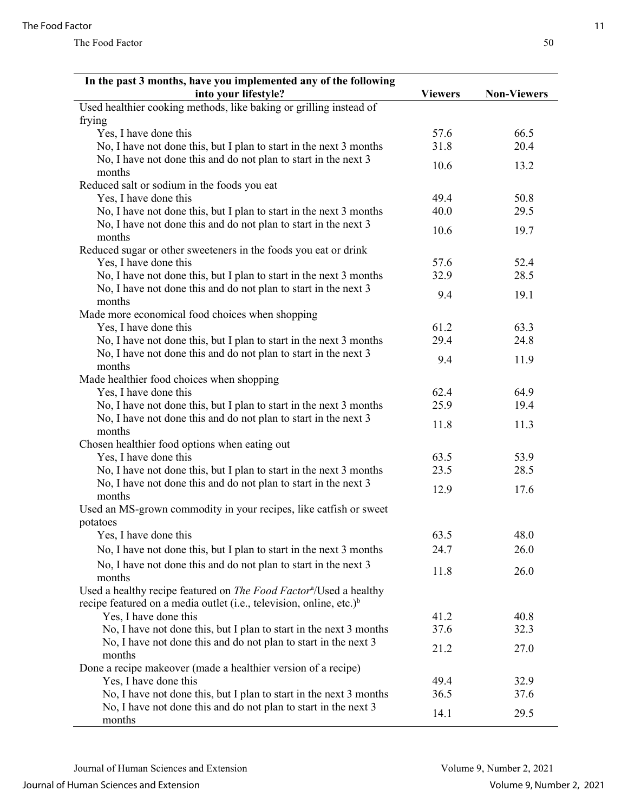| into your lifestyle?<br><b>Viewers</b><br><b>Non-Viewers</b><br>Used healthier cooking methods, like baking or grilling instead of<br>frying<br>Yes, I have done this<br>57.6<br>66.5<br>No, I have not done this, but I plan to start in the next 3 months<br>31.8<br>20.4<br>No, I have not done this and do not plan to start in the next 3<br>10.6<br>13.2<br>months<br>Reduced salt or sodium in the foods you eat<br>Yes, I have done this<br>49.4<br>50.8<br>No, I have not done this, but I plan to start in the next 3 months<br>40.0<br>29.5<br>No, I have not done this and do not plan to start in the next 3<br>10.6<br>19.7<br>months<br>Reduced sugar or other sweeteners in the foods you eat or drink<br>Yes, I have done this<br>57.6<br>52.4<br>32.9<br>No, I have not done this, but I plan to start in the next 3 months<br>28.5<br>No, I have not done this and do not plan to start in the next 3<br>9.4<br>19.1<br>months<br>Made more economical food choices when shopping<br>61.2<br>63.3<br>Yes, I have done this<br>No, I have not done this, but I plan to start in the next 3 months<br>29.4<br>24.8<br>No, I have not done this and do not plan to start in the next 3<br>9.4<br>11.9<br>months<br>Made healthier food choices when shopping<br>Yes, I have done this<br>62.4<br>64.9<br>25.9<br>No, I have not done this, but I plan to start in the next 3 months<br>19.4<br>No, I have not done this and do not plan to start in the next 3<br>11.8<br>11.3<br>months<br>Chosen healthier food options when eating out<br>Yes, I have done this<br>63.5<br>53.9<br>No, I have not done this, but I plan to start in the next 3 months<br>23.5<br>28.5<br>No, I have not done this and do not plan to start in the next 3<br>12.9<br>17.6<br>months |
|---------------------------------------------------------------------------------------------------------------------------------------------------------------------------------------------------------------------------------------------------------------------------------------------------------------------------------------------------------------------------------------------------------------------------------------------------------------------------------------------------------------------------------------------------------------------------------------------------------------------------------------------------------------------------------------------------------------------------------------------------------------------------------------------------------------------------------------------------------------------------------------------------------------------------------------------------------------------------------------------------------------------------------------------------------------------------------------------------------------------------------------------------------------------------------------------------------------------------------------------------------------------------------------------------------------------------------------------------------------------------------------------------------------------------------------------------------------------------------------------------------------------------------------------------------------------------------------------------------------------------------------------------------------------------------------------------------------------------------------------------------------------------------------|
|                                                                                                                                                                                                                                                                                                                                                                                                                                                                                                                                                                                                                                                                                                                                                                                                                                                                                                                                                                                                                                                                                                                                                                                                                                                                                                                                                                                                                                                                                                                                                                                                                                                                                                                                                                                       |
|                                                                                                                                                                                                                                                                                                                                                                                                                                                                                                                                                                                                                                                                                                                                                                                                                                                                                                                                                                                                                                                                                                                                                                                                                                                                                                                                                                                                                                                                                                                                                                                                                                                                                                                                                                                       |
|                                                                                                                                                                                                                                                                                                                                                                                                                                                                                                                                                                                                                                                                                                                                                                                                                                                                                                                                                                                                                                                                                                                                                                                                                                                                                                                                                                                                                                                                                                                                                                                                                                                                                                                                                                                       |
|                                                                                                                                                                                                                                                                                                                                                                                                                                                                                                                                                                                                                                                                                                                                                                                                                                                                                                                                                                                                                                                                                                                                                                                                                                                                                                                                                                                                                                                                                                                                                                                                                                                                                                                                                                                       |
|                                                                                                                                                                                                                                                                                                                                                                                                                                                                                                                                                                                                                                                                                                                                                                                                                                                                                                                                                                                                                                                                                                                                                                                                                                                                                                                                                                                                                                                                                                                                                                                                                                                                                                                                                                                       |
|                                                                                                                                                                                                                                                                                                                                                                                                                                                                                                                                                                                                                                                                                                                                                                                                                                                                                                                                                                                                                                                                                                                                                                                                                                                                                                                                                                                                                                                                                                                                                                                                                                                                                                                                                                                       |
|                                                                                                                                                                                                                                                                                                                                                                                                                                                                                                                                                                                                                                                                                                                                                                                                                                                                                                                                                                                                                                                                                                                                                                                                                                                                                                                                                                                                                                                                                                                                                                                                                                                                                                                                                                                       |
|                                                                                                                                                                                                                                                                                                                                                                                                                                                                                                                                                                                                                                                                                                                                                                                                                                                                                                                                                                                                                                                                                                                                                                                                                                                                                                                                                                                                                                                                                                                                                                                                                                                                                                                                                                                       |
|                                                                                                                                                                                                                                                                                                                                                                                                                                                                                                                                                                                                                                                                                                                                                                                                                                                                                                                                                                                                                                                                                                                                                                                                                                                                                                                                                                                                                                                                                                                                                                                                                                                                                                                                                                                       |
|                                                                                                                                                                                                                                                                                                                                                                                                                                                                                                                                                                                                                                                                                                                                                                                                                                                                                                                                                                                                                                                                                                                                                                                                                                                                                                                                                                                                                                                                                                                                                                                                                                                                                                                                                                                       |
|                                                                                                                                                                                                                                                                                                                                                                                                                                                                                                                                                                                                                                                                                                                                                                                                                                                                                                                                                                                                                                                                                                                                                                                                                                                                                                                                                                                                                                                                                                                                                                                                                                                                                                                                                                                       |
|                                                                                                                                                                                                                                                                                                                                                                                                                                                                                                                                                                                                                                                                                                                                                                                                                                                                                                                                                                                                                                                                                                                                                                                                                                                                                                                                                                                                                                                                                                                                                                                                                                                                                                                                                                                       |
|                                                                                                                                                                                                                                                                                                                                                                                                                                                                                                                                                                                                                                                                                                                                                                                                                                                                                                                                                                                                                                                                                                                                                                                                                                                                                                                                                                                                                                                                                                                                                                                                                                                                                                                                                                                       |
|                                                                                                                                                                                                                                                                                                                                                                                                                                                                                                                                                                                                                                                                                                                                                                                                                                                                                                                                                                                                                                                                                                                                                                                                                                                                                                                                                                                                                                                                                                                                                                                                                                                                                                                                                                                       |
|                                                                                                                                                                                                                                                                                                                                                                                                                                                                                                                                                                                                                                                                                                                                                                                                                                                                                                                                                                                                                                                                                                                                                                                                                                                                                                                                                                                                                                                                                                                                                                                                                                                                                                                                                                                       |
|                                                                                                                                                                                                                                                                                                                                                                                                                                                                                                                                                                                                                                                                                                                                                                                                                                                                                                                                                                                                                                                                                                                                                                                                                                                                                                                                                                                                                                                                                                                                                                                                                                                                                                                                                                                       |
|                                                                                                                                                                                                                                                                                                                                                                                                                                                                                                                                                                                                                                                                                                                                                                                                                                                                                                                                                                                                                                                                                                                                                                                                                                                                                                                                                                                                                                                                                                                                                                                                                                                                                                                                                                                       |
|                                                                                                                                                                                                                                                                                                                                                                                                                                                                                                                                                                                                                                                                                                                                                                                                                                                                                                                                                                                                                                                                                                                                                                                                                                                                                                                                                                                                                                                                                                                                                                                                                                                                                                                                                                                       |
|                                                                                                                                                                                                                                                                                                                                                                                                                                                                                                                                                                                                                                                                                                                                                                                                                                                                                                                                                                                                                                                                                                                                                                                                                                                                                                                                                                                                                                                                                                                                                                                                                                                                                                                                                                                       |
|                                                                                                                                                                                                                                                                                                                                                                                                                                                                                                                                                                                                                                                                                                                                                                                                                                                                                                                                                                                                                                                                                                                                                                                                                                                                                                                                                                                                                                                                                                                                                                                                                                                                                                                                                                                       |
|                                                                                                                                                                                                                                                                                                                                                                                                                                                                                                                                                                                                                                                                                                                                                                                                                                                                                                                                                                                                                                                                                                                                                                                                                                                                                                                                                                                                                                                                                                                                                                                                                                                                                                                                                                                       |
|                                                                                                                                                                                                                                                                                                                                                                                                                                                                                                                                                                                                                                                                                                                                                                                                                                                                                                                                                                                                                                                                                                                                                                                                                                                                                                                                                                                                                                                                                                                                                                                                                                                                                                                                                                                       |
|                                                                                                                                                                                                                                                                                                                                                                                                                                                                                                                                                                                                                                                                                                                                                                                                                                                                                                                                                                                                                                                                                                                                                                                                                                                                                                                                                                                                                                                                                                                                                                                                                                                                                                                                                                                       |
|                                                                                                                                                                                                                                                                                                                                                                                                                                                                                                                                                                                                                                                                                                                                                                                                                                                                                                                                                                                                                                                                                                                                                                                                                                                                                                                                                                                                                                                                                                                                                                                                                                                                                                                                                                                       |
|                                                                                                                                                                                                                                                                                                                                                                                                                                                                                                                                                                                                                                                                                                                                                                                                                                                                                                                                                                                                                                                                                                                                                                                                                                                                                                                                                                                                                                                                                                                                                                                                                                                                                                                                                                                       |
|                                                                                                                                                                                                                                                                                                                                                                                                                                                                                                                                                                                                                                                                                                                                                                                                                                                                                                                                                                                                                                                                                                                                                                                                                                                                                                                                                                                                                                                                                                                                                                                                                                                                                                                                                                                       |
|                                                                                                                                                                                                                                                                                                                                                                                                                                                                                                                                                                                                                                                                                                                                                                                                                                                                                                                                                                                                                                                                                                                                                                                                                                                                                                                                                                                                                                                                                                                                                                                                                                                                                                                                                                                       |
|                                                                                                                                                                                                                                                                                                                                                                                                                                                                                                                                                                                                                                                                                                                                                                                                                                                                                                                                                                                                                                                                                                                                                                                                                                                                                                                                                                                                                                                                                                                                                                                                                                                                                                                                                                                       |
|                                                                                                                                                                                                                                                                                                                                                                                                                                                                                                                                                                                                                                                                                                                                                                                                                                                                                                                                                                                                                                                                                                                                                                                                                                                                                                                                                                                                                                                                                                                                                                                                                                                                                                                                                                                       |
|                                                                                                                                                                                                                                                                                                                                                                                                                                                                                                                                                                                                                                                                                                                                                                                                                                                                                                                                                                                                                                                                                                                                                                                                                                                                                                                                                                                                                                                                                                                                                                                                                                                                                                                                                                                       |
| Used an MS-grown commodity in your recipes, like catfish or sweet                                                                                                                                                                                                                                                                                                                                                                                                                                                                                                                                                                                                                                                                                                                                                                                                                                                                                                                                                                                                                                                                                                                                                                                                                                                                                                                                                                                                                                                                                                                                                                                                                                                                                                                     |
| potatoes                                                                                                                                                                                                                                                                                                                                                                                                                                                                                                                                                                                                                                                                                                                                                                                                                                                                                                                                                                                                                                                                                                                                                                                                                                                                                                                                                                                                                                                                                                                                                                                                                                                                                                                                                                              |
| Yes, I have done this<br>63.5<br>48.0                                                                                                                                                                                                                                                                                                                                                                                                                                                                                                                                                                                                                                                                                                                                                                                                                                                                                                                                                                                                                                                                                                                                                                                                                                                                                                                                                                                                                                                                                                                                                                                                                                                                                                                                                 |
| No, I have not done this, but I plan to start in the next 3 months<br>24.7<br>26.0                                                                                                                                                                                                                                                                                                                                                                                                                                                                                                                                                                                                                                                                                                                                                                                                                                                                                                                                                                                                                                                                                                                                                                                                                                                                                                                                                                                                                                                                                                                                                                                                                                                                                                    |
| No, I have not done this and do not plan to start in the next 3                                                                                                                                                                                                                                                                                                                                                                                                                                                                                                                                                                                                                                                                                                                                                                                                                                                                                                                                                                                                                                                                                                                                                                                                                                                                                                                                                                                                                                                                                                                                                                                                                                                                                                                       |
| 11.8<br>26.0<br>months                                                                                                                                                                                                                                                                                                                                                                                                                                                                                                                                                                                                                                                                                                                                                                                                                                                                                                                                                                                                                                                                                                                                                                                                                                                                                                                                                                                                                                                                                                                                                                                                                                                                                                                                                                |
| Used a healthy recipe featured on <i>The Food Factor<sup>a</sup>/</i> Used a healthy                                                                                                                                                                                                                                                                                                                                                                                                                                                                                                                                                                                                                                                                                                                                                                                                                                                                                                                                                                                                                                                                                                                                                                                                                                                                                                                                                                                                                                                                                                                                                                                                                                                                                                  |
| recipe featured on a media outlet (i.e., television, online, etc.) $\mathbf{b}$                                                                                                                                                                                                                                                                                                                                                                                                                                                                                                                                                                                                                                                                                                                                                                                                                                                                                                                                                                                                                                                                                                                                                                                                                                                                                                                                                                                                                                                                                                                                                                                                                                                                                                       |
| Yes, I have done this<br>41.2<br>40.8                                                                                                                                                                                                                                                                                                                                                                                                                                                                                                                                                                                                                                                                                                                                                                                                                                                                                                                                                                                                                                                                                                                                                                                                                                                                                                                                                                                                                                                                                                                                                                                                                                                                                                                                                 |
| No, I have not done this, but I plan to start in the next 3 months<br>37.6<br>32.3                                                                                                                                                                                                                                                                                                                                                                                                                                                                                                                                                                                                                                                                                                                                                                                                                                                                                                                                                                                                                                                                                                                                                                                                                                                                                                                                                                                                                                                                                                                                                                                                                                                                                                    |
| No, I have not done this and do not plan to start in the next 3<br>21.2<br>27.0                                                                                                                                                                                                                                                                                                                                                                                                                                                                                                                                                                                                                                                                                                                                                                                                                                                                                                                                                                                                                                                                                                                                                                                                                                                                                                                                                                                                                                                                                                                                                                                                                                                                                                       |
| months                                                                                                                                                                                                                                                                                                                                                                                                                                                                                                                                                                                                                                                                                                                                                                                                                                                                                                                                                                                                                                                                                                                                                                                                                                                                                                                                                                                                                                                                                                                                                                                                                                                                                                                                                                                |
| Done a recipe makeover (made a healthier version of a recipe)                                                                                                                                                                                                                                                                                                                                                                                                                                                                                                                                                                                                                                                                                                                                                                                                                                                                                                                                                                                                                                                                                                                                                                                                                                                                                                                                                                                                                                                                                                                                                                                                                                                                                                                         |
| Yes, I have done this<br>49.4<br>32.9                                                                                                                                                                                                                                                                                                                                                                                                                                                                                                                                                                                                                                                                                                                                                                                                                                                                                                                                                                                                                                                                                                                                                                                                                                                                                                                                                                                                                                                                                                                                                                                                                                                                                                                                                 |
| No, I have not done this, but I plan to start in the next 3 months<br>36.5<br>37.6                                                                                                                                                                                                                                                                                                                                                                                                                                                                                                                                                                                                                                                                                                                                                                                                                                                                                                                                                                                                                                                                                                                                                                                                                                                                                                                                                                                                                                                                                                                                                                                                                                                                                                    |
| No, I have not done this and do not plan to start in the next 3<br>14.1<br>29.5<br>months                                                                                                                                                                                                                                                                                                                                                                                                                                                                                                                                                                                                                                                                                                                                                                                                                                                                                                                                                                                                                                                                                                                                                                                                                                                                                                                                                                                                                                                                                                                                                                                                                                                                                             |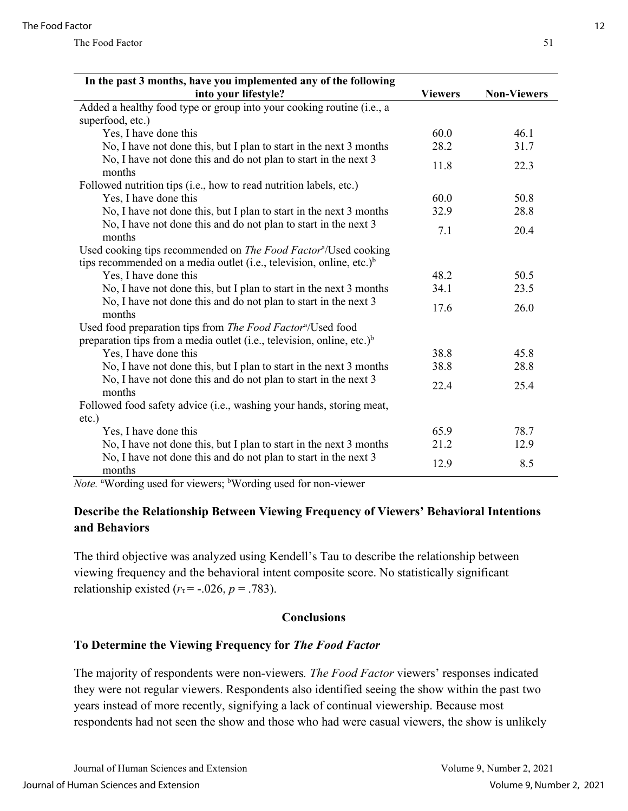| In the past 3 months, have you implemented any of the following                                                                                                       |                |                    |  |  |
|-----------------------------------------------------------------------------------------------------------------------------------------------------------------------|----------------|--------------------|--|--|
| into your lifestyle?                                                                                                                                                  | <b>Viewers</b> | <b>Non-Viewers</b> |  |  |
| Added a healthy food type or group into your cooking routine (i.e., a                                                                                                 |                |                    |  |  |
| superfood, etc.)                                                                                                                                                      |                |                    |  |  |
| Yes, I have done this                                                                                                                                                 | 60.0           | 46.1               |  |  |
| No, I have not done this, but I plan to start in the next 3 months                                                                                                    | 28.2           | 31.7               |  |  |
| No, I have not done this and do not plan to start in the next 3<br>months                                                                                             | 11.8           | 22.3               |  |  |
| Followed nutrition tips (i.e., how to read nutrition labels, etc.)                                                                                                    |                |                    |  |  |
| Yes, I have done this                                                                                                                                                 | 60.0           | 50.8               |  |  |
| No, I have not done this, but I plan to start in the next 3 months                                                                                                    | 32.9           | 28.8               |  |  |
| No, I have not done this and do not plan to start in the next 3<br>months                                                                                             | 7.1            | 20.4               |  |  |
| Used cooking tips recommended on <i>The Food Factor<sup>a</sup>/</i> Used cooking<br>tips recommended on a media outlet (i.e., television, online, etc.) <sup>b</sup> |                |                    |  |  |
| Yes, I have done this                                                                                                                                                 | 48.2           | 50.5               |  |  |
| No, I have not done this, but I plan to start in the next 3 months                                                                                                    | 34.1           | 23.5               |  |  |
| No, I have not done this and do not plan to start in the next 3<br>months                                                                                             | 17.6           | 26.0               |  |  |
| Used food preparation tips from The Food Factor <sup>a</sup> /Used food<br>preparation tips from a media outlet (i.e., television, online, etc.) <sup>b</sup>         |                |                    |  |  |
| Yes, I have done this                                                                                                                                                 | 38.8           | 45.8               |  |  |
| No, I have not done this, but I plan to start in the next 3 months                                                                                                    | 38.8           | 28.8               |  |  |
| No, I have not done this and do not plan to start in the next 3<br>months                                                                                             | 22.4           | 25.4               |  |  |
| Followed food safety advice (i.e., washing your hands, storing meat,                                                                                                  |                |                    |  |  |
| $etc.$ )                                                                                                                                                              |                |                    |  |  |
| Yes, I have done this                                                                                                                                                 | 65.9           | 78.7               |  |  |
| No, I have not done this, but I plan to start in the next 3 months                                                                                                    | 21.2           | 12.9               |  |  |
| No, I have not done this and do not plan to start in the next 3<br>months                                                                                             | 12.9           | 8.5                |  |  |

Note. <sup>a</sup>Wording used for viewers; <sup>b</sup>Wording used for non-viewer

#### **Describe the Relationship Between Viewing Frequency of Viewers' Behavioral Intentions and Behaviors**

The third objective was analyzed using Kendell's Tau to describe the relationship between viewing frequency and the behavioral intent composite score. No statistically significant relationship existed  $(r<sub>\tau</sub> = -.026, p = .783)$ .

#### **Conclusions**

#### **To Determine the Viewing Frequency for** *The Food Factor*

The majority of respondents were non-viewers*. The Food Factor* viewers' responses indicated they were not regular viewers. Respondents also identified seeing the show within the past two years instead of more recently, signifying a lack of continual viewership. Because most respondents had not seen the show and those who had were casual viewers, the show is unlikely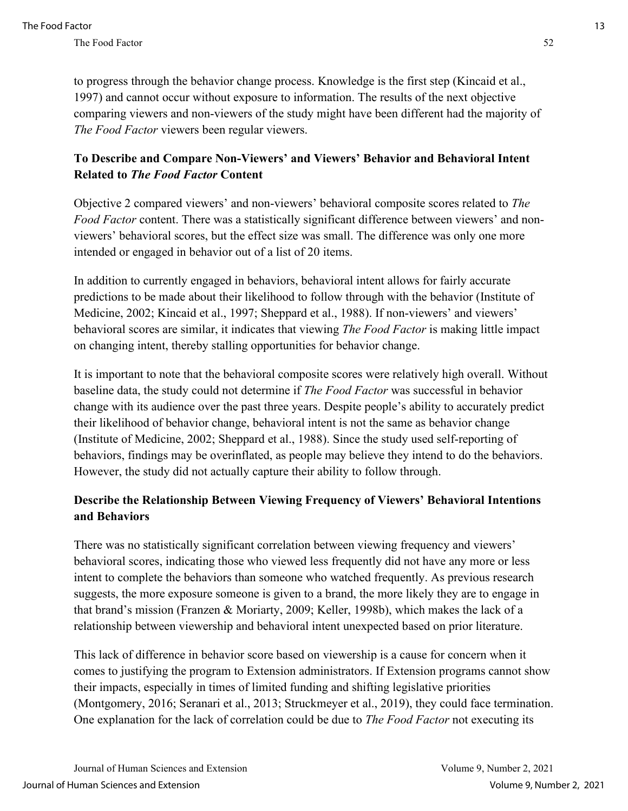to progress through the behavior change process. Knowledge is the first step (Kincaid et al., 1997) and cannot occur without exposure to information. The results of the next objective comparing viewers and non-viewers of the study might have been different had the majority of *The Food Factor* viewers been regular viewers.

## **To Describe and Compare Non-Viewers' and Viewers' Behavior and Behavioral Intent Related to** *The Food Factor* **Content**

Objective 2 compared viewers' and non-viewers' behavioral composite scores related to *The Food Factor* content. There was a statistically significant difference between viewers' and nonviewers' behavioral scores, but the effect size was small. The difference was only one more intended or engaged in behavior out of a list of 20 items.

In addition to currently engaged in behaviors, behavioral intent allows for fairly accurate predictions to be made about their likelihood to follow through with the behavior (Institute of Medicine, 2002; Kincaid et al., 1997; Sheppard et al., 1988). If non-viewers' and viewers' behavioral scores are similar, it indicates that viewing *The Food Factor* is making little impact on changing intent, thereby stalling opportunities for behavior change.

It is important to note that the behavioral composite scores were relatively high overall. Without baseline data, the study could not determine if *The Food Factor* was successful in behavior change with its audience over the past three years. Despite people's ability to accurately predict their likelihood of behavior change, behavioral intent is not the same as behavior change (Institute of Medicine, 2002; Sheppard et al., 1988). Since the study used self-reporting of behaviors, findings may be overinflated, as people may believe they intend to do the behaviors. However, the study did not actually capture their ability to follow through.

## **Describe the Relationship Between Viewing Frequency of Viewers' Behavioral Intentions and Behaviors**

There was no statistically significant correlation between viewing frequency and viewers' behavioral scores, indicating those who viewed less frequently did not have any more or less intent to complete the behaviors than someone who watched frequently. As previous research suggests, the more exposure someone is given to a brand, the more likely they are to engage in that brand's mission (Franzen & Moriarty, 2009; Keller, 1998b), which makes the lack of a relationship between viewership and behavioral intent unexpected based on prior literature.

This lack of difference in behavior score based on viewership is a cause for concern when it comes to justifying the program to Extension administrators. If Extension programs cannot show their impacts, especially in times of limited funding and shifting legislative priorities (Montgomery, 2016; Seranari et al., 2013; Struckmeyer et al., 2019), they could face termination. One explanation for the lack of correlation could be due to *The Food Factor* not executing its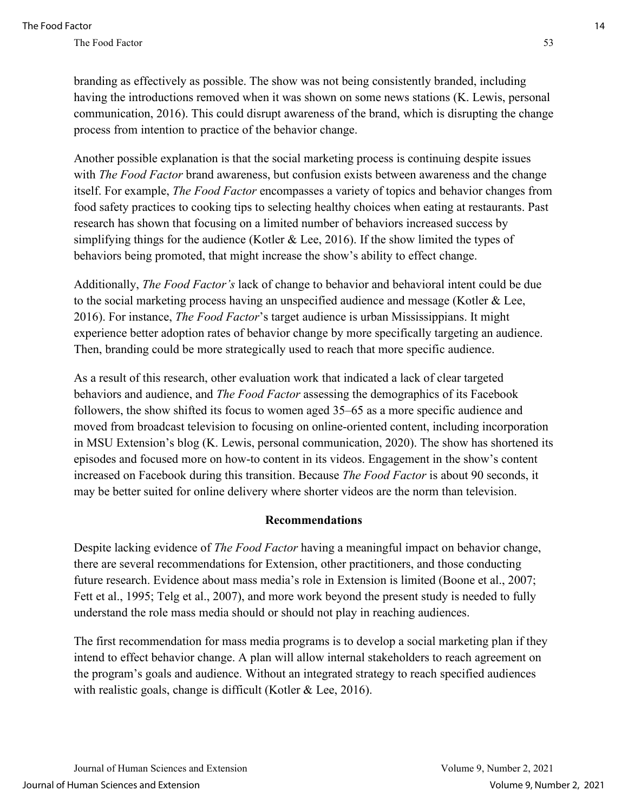branding as effectively as possible. The show was not being consistently branded, including having the introductions removed when it was shown on some news stations (K. Lewis, personal communication, 2016). This could disrupt awareness of the brand, which is disrupting the change process from intention to practice of the behavior change.

Another possible explanation is that the social marketing process is continuing despite issues with *The Food Factor* brand awareness, but confusion exists between awareness and the change itself. For example, *The Food Factor* encompasses a variety of topics and behavior changes from food safety practices to cooking tips to selecting healthy choices when eating at restaurants. Past research has shown that focusing on a limited number of behaviors increased success by simplifying things for the audience (Kotler & Lee, 2016). If the show limited the types of behaviors being promoted, that might increase the show's ability to effect change.

Additionally, *The Food Factor's* lack of change to behavior and behavioral intent could be due to the social marketing process having an unspecified audience and message (Kotler & Lee, 2016). For instance, *The Food Factor*'s target audience is urban Mississippians. It might experience better adoption rates of behavior change by more specifically targeting an audience. Then, branding could be more strategically used to reach that more specific audience.

As a result of this research, other evaluation work that indicated a lack of clear targeted behaviors and audience, and *The Food Factor* assessing the demographics of its Facebook followers, the show shifted its focus to women aged 35–65 as a more specific audience and moved from broadcast television to focusing on online-oriented content, including incorporation in MSU Extension's blog (K. Lewis, personal communication, 2020). The show has shortened its episodes and focused more on how-to content in its videos. Engagement in the show's content increased on Facebook during this transition. Because *The Food Factor* is about 90 seconds, it may be better suited for online delivery where shorter videos are the norm than television.

#### **Recommendations**

Despite lacking evidence of *The Food Factor* having a meaningful impact on behavior change, there are several recommendations for Extension, other practitioners, and those conducting future research. Evidence about mass media's role in Extension is limited (Boone et al., 2007; Fett et al., 1995; Telg et al., 2007), and more work beyond the present study is needed to fully understand the role mass media should or should not play in reaching audiences.

The first recommendation for mass media programs is to develop a social marketing plan if they intend to effect behavior change. A plan will allow internal stakeholders to reach agreement on the program's goals and audience. Without an integrated strategy to reach specified audiences with realistic goals, change is difficult (Kotler & Lee, 2016).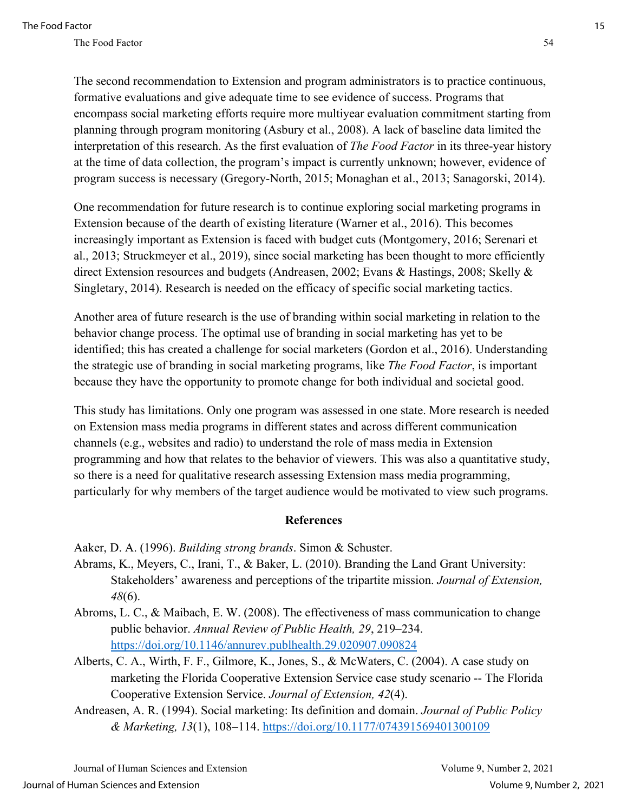The second recommendation to Extension and program administrators is to practice continuous, formative evaluations and give adequate time to see evidence of success. Programs that encompass social marketing efforts require more multiyear evaluation commitment starting from planning through program monitoring (Asbury et al., 2008). A lack of baseline data limited the interpretation of this research. As the first evaluation of *The Food Factor* in its three-year history at the time of data collection, the program's impact is currently unknown; however, evidence of program success is necessary (Gregory-North, 2015; Monaghan et al., 2013; Sanagorski, 2014).

One recommendation for future research is to continue exploring social marketing programs in Extension because of the dearth of existing literature (Warner et al., 2016). This becomes increasingly important as Extension is faced with budget cuts (Montgomery, 2016; Serenari et al., 2013; Struckmeyer et al., 2019), since social marketing has been thought to more efficiently direct Extension resources and budgets (Andreasen, 2002; Evans & Hastings, 2008; Skelly & Singletary, 2014). Research is needed on the efficacy of specific social marketing tactics.

Another area of future research is the use of branding within social marketing in relation to the behavior change process. The optimal use of branding in social marketing has yet to be identified; this has created a challenge for social marketers (Gordon et al., 2016). Understanding the strategic use of branding in social marketing programs, like *The Food Factor*, is important because they have the opportunity to promote change for both individual and societal good.

This study has limitations. Only one program was assessed in one state. More research is needed on Extension mass media programs in different states and across different communication channels (e.g., websites and radio) to understand the role of mass media in Extension programming and how that relates to the behavior of viewers. This was also a quantitative study, so there is a need for qualitative research assessing Extension mass media programming, particularly for why members of the target audience would be motivated to view such programs.

#### **References**

Aaker, D. A. (1996). *Building strong brands*. Simon & Schuster.

- Abrams, K., Meyers, C., Irani, T., & Baker, L. (2010). Branding the Land Grant University: Stakeholders' awareness and perceptions of the tripartite mission. *Journal of Extension, 48*(6).
- Abroms, L. C., & Maibach, E. W. (2008). The effectiveness of mass communication to change public behavior. *Annual Review of Public Health, 29*, 219–234. <https://doi.org/10.1146/annurev.publhealth.29.020907.090824>
- Alberts, C. A., Wirth, F. F., Gilmore, K., Jones, S., & McWaters, C. (2004). A case study on marketing the Florida Cooperative Extension Service case study scenario -- The Florida Cooperative Extension Service. *Journal of Extension, 42*(4).
- Andreasen, A. R. (1994). Social marketing: Its definition and domain. *Journal of Public Policy & Marketing, 13*(1), 108–114.<https://doi.org/10.1177/074391569401300109>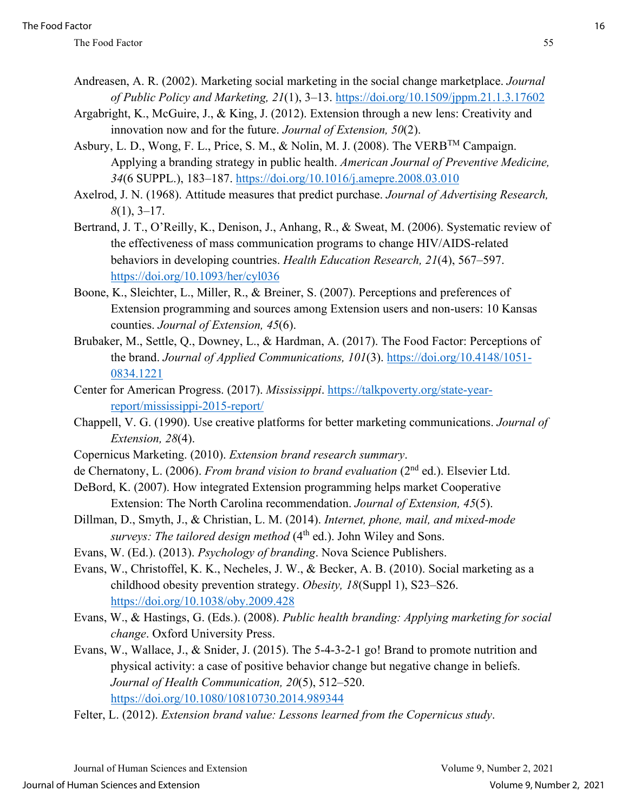- Andreasen, A. R. (2002). Marketing social marketing in the social change marketplace. *Journal of Public Policy and Marketing, 21*(1), 3–13.<https://doi.org/10.1509/jppm.21.1.3.17602>
- Argabright, K., McGuire, J., & King, J. (2012). Extension through a new lens: Creativity and innovation now and for the future. *Journal of Extension, 50*(2).
- Asbury, L. D., Wong, F. L., Price, S. M., & Nolin, M. J. (2008). The VERBTM Campaign. Applying a branding strategy in public health. *American Journal of Preventive Medicine, 34*(6 SUPPL.), 183–187.<https://doi.org/10.1016/j.amepre.2008.03.010>
- Axelrod, J. N. (1968). Attitude measures that predict purchase. *Journal of Advertising Research, 8*(1), 3–17.
- Bertrand, J. T., O'Reilly, K., Denison, J., Anhang, R., & Sweat, M. (2006). Systematic review of the effectiveness of mass communication programs to change HIV/AIDS-related behaviors in developing countries. *Health Education Research, 21*(4), 567–597. <https://doi.org/10.1093/her/cyl036>
- Boone, K., Sleichter, L., Miller, R., & Breiner, S. (2007). Perceptions and preferences of Extension programming and sources among Extension users and non-users: 10 Kansas counties. *Journal of Extension, 45*(6).
- Brubaker, M., Settle, Q., Downey, L., & Hardman, A. (2017). The Food Factor: Perceptions of the brand. *Journal of Applied Communications, 101*(3). [https://doi.org/10.4148/1051-](https://doi.org/10.4148/1051-0834.1221) [0834.1221](https://doi.org/10.4148/1051-0834.1221)
- Center for American Progress. (2017). *Mississippi*. [https://talkpoverty.org/state-year](https://talkpoverty.org/state-year-report/mississippi-2015-report/)[report/mississippi-2015-report/](https://talkpoverty.org/state-year-report/mississippi-2015-report/)
- Chappell, V. G. (1990). Use creative platforms for better marketing communications. *Journal of Extension, 28*(4).
- Copernicus Marketing. (2010). *Extension brand research summary*.
- de Chernatony, L. (2006). *From brand vision to brand evaluation* (2nd ed.). Elsevier Ltd.
- DeBord, K. (2007). How integrated Extension programming helps market Cooperative Extension: The North Carolina recommendation. *Journal of Extension, 45*(5).
- Dillman, D., Smyth, J., & Christian, L. M. (2014). *Internet, phone, mail, and mixed-mode surveys: The tailored design method* (4<sup>th</sup> ed.). John Wiley and Sons.
- Evans, W. (Ed.). (2013). *Psychology of branding*. Nova Science Publishers.
- Evans, W., Christoffel, K. K., Necheles, J. W., & Becker, A. B. (2010). Social marketing as a childhood obesity prevention strategy. *Obesity, 18*(Suppl 1), S23–S26. <https://doi.org/10.1038/oby.2009.428>
- Evans, W., & Hastings, G. (Eds.). (2008). *Public health branding: Applying marketing for social change*. Oxford University Press.
- Evans, W., Wallace, J., & Snider, J. (2015). The 5-4-3-2-1 go! Brand to promote nutrition and physical activity: a case of positive behavior change but negative change in beliefs. *Journal of Health Communication, 20*(5), 512–520. <https://doi.org/10.1080/10810730.2014.989344>
- Felter, L. (2012). *Extension brand value: Lessons learned from the Copernicus study*.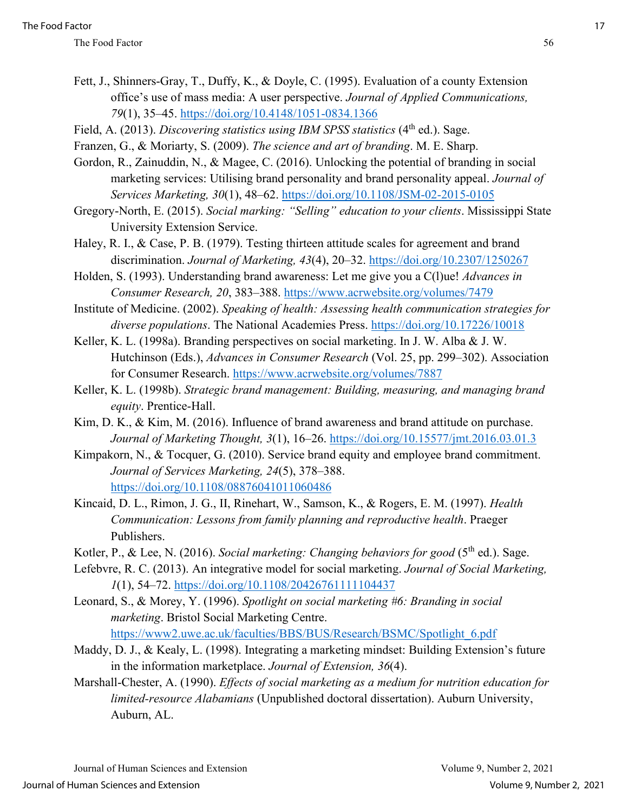- Fett, J., Shinners-Gray, T., Duffy, K., & Doyle, C. (1995). Evaluation of a county Extension office's use of mass media: A user perspective. *Journal of Applied Communications, 79*(1), 35–45.<https://doi.org/10.4148/1051-0834.1366>
- Field, A. (2013). *Discovering statistics using IBM SPSS statistics* (4<sup>th</sup> ed.). Sage.
- Franzen, G., & Moriarty, S. (2009). *The science and art of branding*. M. E. Sharp.
- Gordon, R., Zainuddin, N., & Magee, C. (2016). Unlocking the potential of branding in social marketing services: Utilising brand personality and brand personality appeal. *Journal of Services Marketing, 30*(1), 48–62.<https://doi.org/10.1108/JSM-02-2015-0105>
- Gregory-North, E. (2015). *Social marking: "Selling" education to your clients*. Mississippi State University Extension Service.
- Haley, R. I., & Case, P. B. (1979). Testing thirteen attitude scales for agreement and brand discrimination. *Journal of Marketing, 43*(4), 20–32.<https://doi.org/10.2307/1250267>
- Holden, S. (1993). Understanding brand awareness: Let me give you a C(l)ue! *Advances in Consumer Research, 20*, 383–388.<https://www.acrwebsite.org/volumes/7479>
- Institute of Medicine. (2002). *Speaking of health: Assessing health communication strategies for diverse populations*. The National Academies Press.<https://doi.org/10.17226/10018>
- Keller, K. L. (1998a). Branding perspectives on social marketing. In J. W. Alba & J. W. Hutchinson (Eds.), *Advances in Consumer Research* (Vol. 25, pp. 299–302). Association for Consumer Research.<https://www.acrwebsite.org/volumes/7887>
- Keller, K. L. (1998b). *Strategic brand management: Building, measuring, and managing brand equity*. Prentice-Hall.
- Kim, D. K., & Kim, M. (2016). Influence of brand awareness and brand attitude on purchase. *Journal of Marketing Thought, 3*(1), 16–26.<https://doi.org/10.15577/jmt.2016.03.01.3>
- Kimpakorn, N., & Tocquer, G. (2010). Service brand equity and employee brand commitment. *Journal of Services Marketing, 24*(5), 378–388. <https://doi.org/10.1108/08876041011060486>
- Kincaid, D. L., Rimon, J. G., II, Rinehart, W., Samson, K., & Rogers, E. M. (1997). *Health Communication: Lessons from family planning and reproductive health*. Praeger Publishers.
- Kotler, P., & Lee, N. (2016). *Social marketing: Changing behaviors for good* (5<sup>th</sup> ed.). Sage.
- Lefebvre, R. C. (2013). An integrative model for social marketing. *Journal of Social Marketing, 1*(1), 54–72.<https://doi.org/10.1108/20426761111104437>
- Leonard, S., & Morey, Y. (1996). *Spotlight on social marketing #6: Branding in social marketing*. Bristol Social Marketing Centre. [https://www2.uwe.ac.uk/faculties/BBS/BUS/Research/BSMC/Spotlight\\_6.pdf](https://www2.uwe.ac.uk/faculties/BBS/BUS/Research/BSMC/Spotlight_6.pdf)
- Maddy, D. J., & Kealy, L. (1998). Integrating a marketing mindset: Building Extension's future in the information marketplace. *Journal of Extension, 36*(4).
- Marshall-Chester, A. (1990). *Effects of social marketing as a medium for nutrition education for limited-resource Alabamians* (Unpublished doctoral dissertation). Auburn University, Auburn, AL.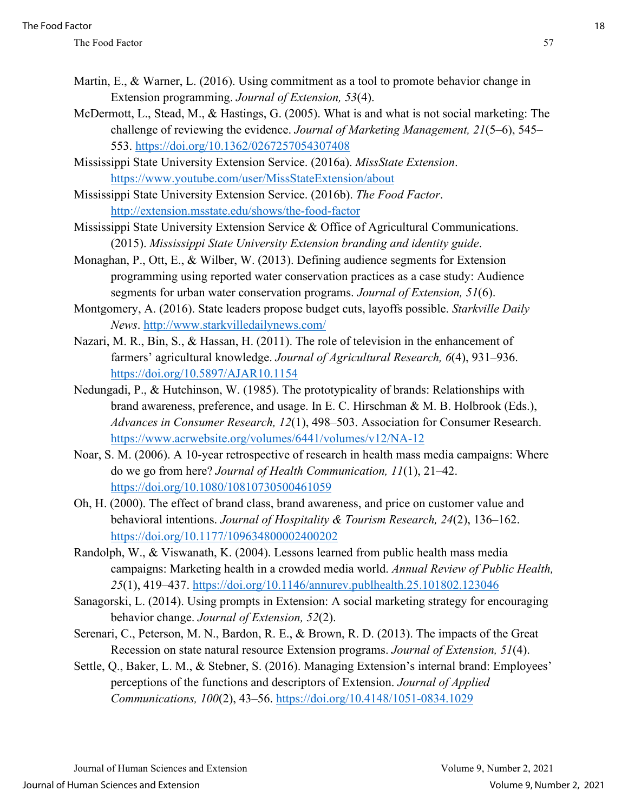- Martin, E., & Warner, L. (2016). Using commitment as a tool to promote behavior change in Extension programming. *Journal of Extension, 53*(4).
- McDermott, L., Stead, M., & Hastings, G. (2005). What is and what is not social marketing: The challenge of reviewing the evidence. *Journal of Marketing Management, 21*(5–6), 545– 553.<https://doi.org/10.1362/0267257054307408>
- Mississippi State University Extension Service. (2016a). *MissState Extension*. <https://www.youtube.com/user/MissStateExtension/about>
- Mississippi State University Extension Service. (2016b). *The Food Factor*. <http://extension.msstate.edu/shows/the-food-factor>
- Mississippi State University Extension Service & Office of Agricultural Communications. (2015). *Mississippi State University Extension branding and identity guide*.
- Monaghan, P., Ott, E., & Wilber, W. (2013). Defining audience segments for Extension programming using reported water conservation practices as a case study: Audience segments for urban water conservation programs. *Journal of Extension, 51*(6).
- Montgomery, A. (2016). State leaders propose budget cuts, layoffs possible. *Starkville Daily News*.<http://www.starkvilledailynews.com/>
- Nazari, M. R., Bin, S., & Hassan, H. (2011). The role of television in the enhancement of farmers' agricultural knowledge. *Journal of Agricultural Research, 6*(4), 931–936. <https://doi.org/10.5897/AJAR10.1154>
- Nedungadi, P., & Hutchinson, W. (1985). The prototypicality of brands: Relationships with brand awareness, preference, and usage. In E. C. Hirschman & M. B. Holbrook (Eds.), *Advances in Consumer Research, 12*(1), 498–503. Association for Consumer Research. <https://www.acrwebsite.org/volumes/6441/volumes/v12/NA-12>
- Noar, S. M. (2006). A 10-year retrospective of research in health mass media campaigns: Where do we go from here? *Journal of Health Communication, 11*(1), 21–42. <https://doi.org/10.1080/10810730500461059>
- Oh, H. (2000). The effect of brand class, brand awareness, and price on customer value and behavioral intentions. *Journal of Hospitality & Tourism Research, 24*(2), 136–162. <https://doi.org/10.1177/109634800002400202>
- Randolph, W., & Viswanath, K. (2004). Lessons learned from public health mass media campaigns: Marketing health in a crowded media world. *Annual Review of Public Health, 25*(1), 419–437.<https://doi.org/10.1146/annurev.publhealth.25.101802.123046>
- Sanagorski, L. (2014). Using prompts in Extension: A social marketing strategy for encouraging behavior change. *Journal of Extension, 52*(2).
- Serenari, C., Peterson, M. N., Bardon, R. E., & Brown, R. D. (2013). The impacts of the Great Recession on state natural resource Extension programs. *Journal of Extension, 51*(4).
- Settle, Q., Baker, L. M., & Stebner, S. (2016). Managing Extension's internal brand: Employees' perceptions of the functions and descriptors of Extension. *Journal of Applied Communications, 100*(2), 43–56.<https://doi.org/10.4148/1051-0834.1029>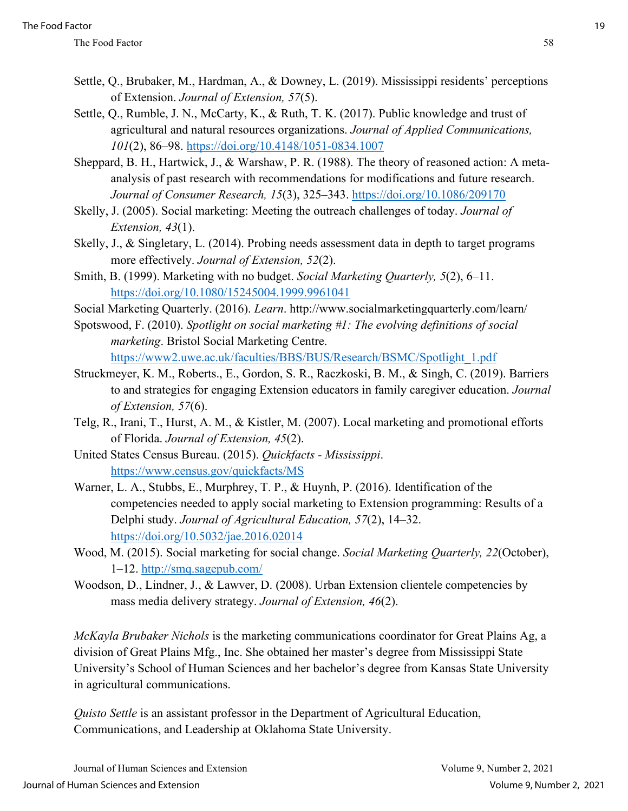- Settle, Q., Brubaker, M., Hardman, A., & Downey, L. (2019). Mississippi residents' perceptions of Extension. *Journal of Extension, 57*(5).
- Settle, Q., Rumble, J. N., McCarty, K., & Ruth, T. K. (2017). Public knowledge and trust of agricultural and natural resources organizations. *Journal of Applied Communications, 101*(2), 86–98.<https://doi.org/10.4148/1051-0834.1007>
- Sheppard, B. H., Hartwick, J., & Warshaw, P. R. (1988). The theory of reasoned action: A metaanalysis of past research with recommendations for modifications and future research. *Journal of Consumer Research, 15*(3), 325–343.<https://doi.org/10.1086/209170>
- Skelly, J. (2005). Social marketing: Meeting the outreach challenges of today. *Journal of Extension, 43*(1).
- Skelly, J., & Singletary, L. (2014). Probing needs assessment data in depth to target programs more effectively. *Journal of Extension, 52*(2).
- Smith, B. (1999). Marketing with no budget. *Social Marketing Quarterly, 5*(2), 6–11. <https://doi.org/10.1080/15245004.1999.9961041>
- Social Marketing Quarterly. (2016). *Learn*. http://www.socialmarketingquarterly.com/learn/
- Spotswood, F. (2010). *Spotlight on social marketing #1: The evolving definitions of social marketing*. Bristol Social Marketing Centre. [https://www2.uwe.ac.uk/faculties/BBS/BUS/Research/BSMC/Spotlight\\_1.pdf](https://www2.uwe.ac.uk/faculties/BBS/BUS/Research/BSMC/Spotlight_1.pdf)
- Struckmeyer, K. M., Roberts., E., Gordon, S. R., Raczkoski, B. M., & Singh, C. (2019). Barriers to and strategies for engaging Extension educators in family caregiver education. *Journal of Extension, 57*(6).
- Telg, R., Irani, T., Hurst, A. M., & Kistler, M. (2007). Local marketing and promotional efforts of Florida. *Journal of Extension, 45*(2).
- United States Census Bureau. (2015). *Quickfacts Mississippi*. <https://www.census.gov/quickfacts/MS>
- Warner, L. A., Stubbs, E., Murphrey, T. P., & Huynh, P. (2016). Identification of the competencies needed to apply social marketing to Extension programming: Results of a Delphi study. *Journal of Agricultural Education, 57*(2), 14–32. <https://doi.org/10.5032/jae.2016.02014>
- Wood, M. (2015). Social marketing for social change. *Social Marketing Quarterly, 22*(October), 1–12.<http://smq.sagepub.com/>
- Woodson, D., Lindner, J., & Lawver, D. (2008). Urban Extension clientele competencies by mass media delivery strategy. *Journal of Extension, 46*(2).

*McKayla Brubaker Nichols* is the marketing communications coordinator for Great Plains Ag, a division of Great Plains Mfg., Inc. She obtained her master's degree from Mississippi State University's School of Human Sciences and her bachelor's degree from Kansas State University in agricultural communications.

*Quisto Settle* is an assistant professor in the Department of Agricultural Education, Communications, and Leadership at Oklahoma State University.